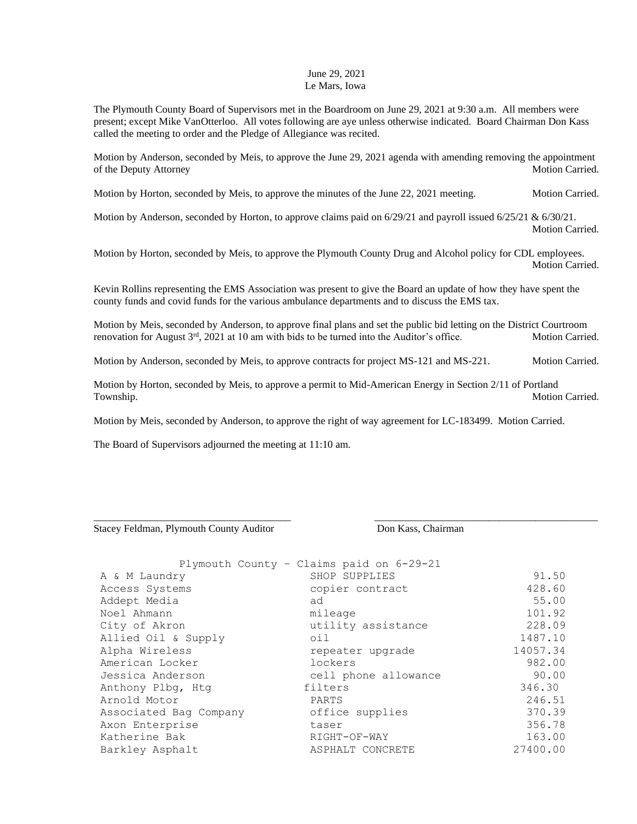## June 29, 2021 Le Mars, Iowa

The Plymouth County Board of Supervisors met in the Boardroom on June 29, 2021 at 9:30 a.m. All members were present; except Mike VanOtterloo. All votes following are aye unless otherwise indicated. Board Chairman Don Kass called the meeting to order and the Pledge of Allegiance was recited.

Motion by Anderson, seconded by Meis, to approve the June 29, 2021 agenda with amending removing the appointment of the Deputy Attorney Motion Carried.

Motion by Horton, seconded by Meis, to approve the minutes of the June 22, 2021 meeting. Motion Carried.

Motion by Anderson, seconded by Horton, to approve claims paid on 6/29/21 and payroll issued 6/25/21 & 6/30/21. Motion Carried.

Motion by Horton, seconded by Meis, to approve the Plymouth County Drug and Alcohol policy for CDL employees. Motion Carried.

Kevin Rollins representing the EMS Association was present to give the Board an update of how they have spent the county funds and covid funds for the various ambulance departments and to discuss the EMS tax.

Motion by Meis, seconded by Anderson, to approve final plans and set the public bid letting on the District Courtroom renovation for August 3<sup>rd</sup>, 2021 at 10 am with bids to be turned into the Auditor's office. Motion Carried.

Motion by Anderson, seconded by Meis, to approve contracts for project MS-121 and MS-221. Motion Carried.

Motion by Horton, seconded by Meis, to approve a permit to Mid-American Energy in Section 2/11 of Portland Township. Motion Carried.

\_\_\_\_\_\_\_\_\_\_\_\_\_\_\_\_\_\_\_\_\_\_\_\_\_\_\_\_\_\_\_\_\_\_\_\_\_\_ \_\_\_\_\_\_\_\_\_\_\_\_\_\_\_\_\_\_\_\_\_\_\_\_\_\_\_\_\_\_\_\_\_\_\_\_\_\_\_\_\_\_\_

Motion by Meis, seconded by Anderson, to approve the right of way agreement for LC-183499. Motion Carried.

The Board of Supervisors adjourned the meeting at 11:10 am.

Stacey Feldman, Plymouth County Auditor Don Kass, Chairman

|                        | Plymouth County - Claims paid on 6-29-21 |          |
|------------------------|------------------------------------------|----------|
| A & M Laundry          | SHOP SUPPLIES                            | 91.50    |
| Access Systems         | copier contract                          | 428.60   |
| Addept Media           | ad                                       | 55.00    |
| Noel Ahmann            | mileage                                  | 101.92   |
| City of Akron          | utility assistance                       | 228.09   |
| Allied Oil & Supply    | oil                                      | 1487.10  |
| Alpha Wireless         | repeater upgrade                         | 14057.34 |
| American Locker        | lockers                                  | 982.00   |
| Jessica Anderson       | cell phone allowance                     | 90.00    |
| Anthony Plbg, Htg      | filters                                  | 346.30   |
| Arnold Motor           | PARTS                                    | 246.51   |
| Associated Bag Company | office supplies                          | 370.39   |
| Axon Enterprise        | taser                                    | 356.78   |
| Katherine Bak          | RIGHT-OF-WAY                             | 163.00   |
| Barkley Asphalt        | ASPHALT CONCRETE                         | 27400.00 |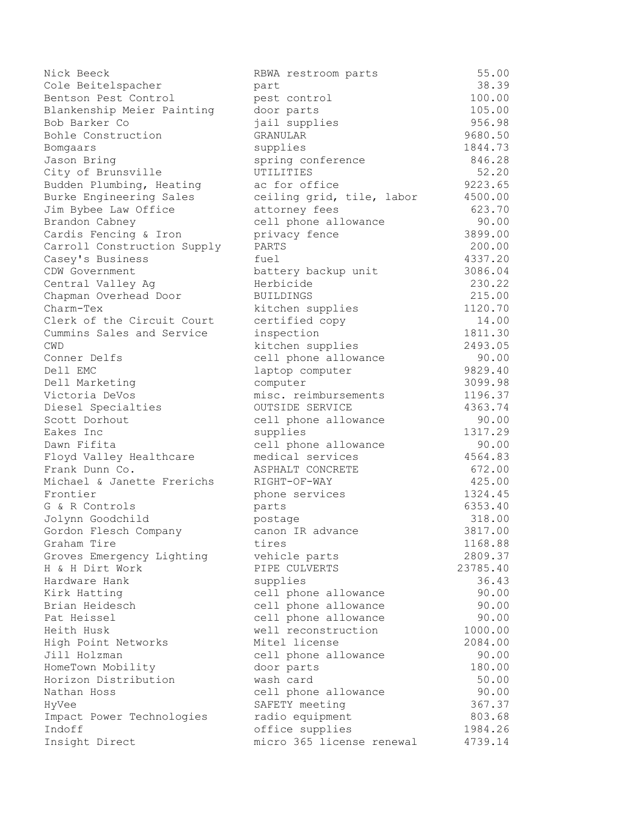| Nick Beeck                  | RBWA restroom parts       | 55.00    |
|-----------------------------|---------------------------|----------|
| Cole Beitelspacher          | part                      | 38.39    |
| Bentson Pest Control        | pest control              | 100.00   |
| Blankenship Meier Painting  | door parts                | 105.00   |
| Bob Barker Co               | jail supplies             | 956.98   |
| Bohle Construction          | GRANULAR                  | 9680.50  |
| Bomgaars                    | supplies                  | 1844.73  |
| Jason Bring                 | spring conference         | 846.28   |
| City of Brunsville          | UTILITIES                 | 52.20    |
| Budden Plumbing, Heating    | ac for office             | 9223.65  |
| Burke Engineering Sales     | ceiling grid, tile, labor | 4500.00  |
| Jim Bybee Law Office        | attorney fees             | 623.70   |
| Brandon Cabney              | cell phone allowance      | 90.00    |
| Cardis Fencing & Iron       | privacy fence             | 3899.00  |
| Carroll Construction Supply | PARTS                     | 200.00   |
| Casey's Business            | fuel                      | 4337.20  |
| CDW Government              | battery backup unit       | 3086.04  |
| Central Valley Ag           | Herbicide                 | 230.22   |
| Chapman Overhead Door       | <b>BUILDINGS</b>          | 215.00   |
| Charm-Tex                   | kitchen supplies          | 1120.70  |
| Clerk of the Circuit Court  | certified copy            | 14.00    |
| Cummins Sales and Service   | inspection                | 1811.30  |
| <b>CWD</b>                  | kitchen supplies          | 2493.05  |
| Conner Delfs                | cell phone allowance      | 90.00    |
| Dell EMC                    | laptop computer           | 9829.40  |
| Dell Marketing              | computer                  | 3099.98  |
| Victoria DeVos              | misc. reimbursements      | 1196.37  |
| Diesel Specialties          | OUTSIDE SERVICE           | 4363.74  |
| Scott Dorhout               | cell phone allowance      | 90.00    |
| Eakes Inc                   | supplies                  | 1317.29  |
| Dawn Fifita                 | cell phone allowance      | 90.00    |
| Floyd Valley Healthcare     | medical services          | 4564.83  |
| Frank Dunn Co.              | ASPHALT CONCRETE          | 672.00   |
| Michael & Janette Frerichs  | RIGHT-OF-WAY              | 425.00   |
| Frontier                    | phone services            | 1324.45  |
| G & R Controls              | parts                     | 6353.40  |
| Jolynn Goodchild            | postage                   | 318.00   |
| Gordon Flesch Company       | canon IR advance          | 3817.00  |
| Graham Tire                 | tires                     | 1168.88  |
| Groves Emergency Lighting   | vehicle parts             | 2809.37  |
| H & H Dirt Work             | PIPE CULVERTS             | 23785.40 |
| Hardware Hank               | supplies                  | 36.43    |
| Kirk Hatting                | cell phone allowance      | 90.00    |
| Brian Heidesch              | cell phone allowance      | 90.00    |
| Pat Heissel                 | cell phone allowance      | 90.00    |
| Heith Husk                  | well reconstruction       | 1000.00  |
| High Point Networks         | Mitel license             | 2084.00  |
| Jill Holzman                | cell phone allowance      | 90.00    |
| HomeTown Mobility           | door parts                | 180.00   |
| Horizon Distribution        | wash card                 | 50.00    |
| Nathan Hoss                 | cell phone allowance      | 90.00    |
| HyVee                       | SAFETY meeting            | 367.37   |
| Impact Power Technologies   | radio equipment           | 803.68   |
| Indoff                      | office supplies           | 1984.26  |
| Insight Direct              | micro 365 license renewal | 4739.14  |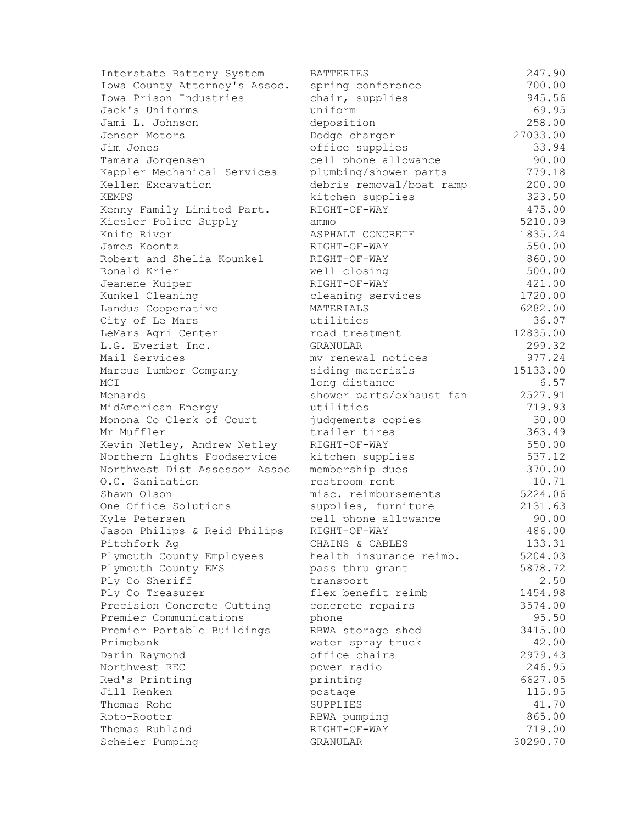| Interstate Battery System     | <b>BATTERIES</b>         | 247.90   |
|-------------------------------|--------------------------|----------|
| Iowa County Attorney's Assoc. | spring conference        | 700.00   |
| Iowa Prison Industries        | chair, supplies          | 945.56   |
| Jack's Uniforms               | uniform                  | 69.95    |
| Jami L. Johnson               | deposition               | 258.00   |
| Jensen Motors                 | Dodge charger            | 27033.00 |
| Jim Jones                     | office supplies          | 33.94    |
| Tamara Jorgensen              | cell phone allowance     | 90.00    |
| Kappler Mechanical Services   | plumbing/shower parts    | 779.18   |
| Kellen Excavation             | debris removal/boat ramp | 200.00   |
| KEMPS                         | kitchen supplies         | 323.50   |
| Kenny Family Limited Part.    | RIGHT-OF-WAY             | 475.00   |
| Kiesler Police Supply         | ammo                     | 5210.09  |
| Knife River                   | ASPHALT CONCRETE         | 1835.24  |
| James Koontz                  | RIGHT-OF-WAY             | 550.00   |
| Robert and Shelia Kounkel     | RIGHT-OF-WAY             | 860.00   |
| Ronald Krier                  | well closing             | 500.00   |
| Jeanene Kuiper                | RIGHT-OF-WAY             | 421.00   |
| Kunkel Cleaning               | cleaning services        | 1720.00  |
| Landus Cooperative            | MATERIALS                | 6282.00  |
| City of Le Mars               | utilities                | 36.07    |
| LeMars Agri Center            | road treatment           | 12835.00 |
| L.G. Everist Inc.             | GRANULAR                 | 299.32   |
| Mail Services                 | my renewal notices       | 977.24   |
| Marcus Lumber Company         | siding materials         | 15133.00 |
| MCI                           | long distance            | 6.57     |
| Menards                       | shower parts/exhaust fan | 2527.91  |
| MidAmerican Energy            | utilities                | 719.93   |
| Monona Co Clerk of Court      | judgements copies        | 30.00    |
| Mr Muffler                    | trailer tires            | 363.49   |
| Kevin Netley, Andrew Netley   | RIGHT-OF-WAY             | 550.00   |
| Northern Lights Foodservice   | kitchen supplies         | 537.12   |
| Northwest Dist Assessor Assoc | membership dues          | 370.00   |
| O.C. Sanitation               | restroom rent            | 10.71    |
| Shawn Olson                   | misc. reimbursements     | 5224.06  |
| One Office Solutions          | supplies, furniture      | 2131.63  |
| Kyle Petersen                 | cell phone allowance     | 90.00    |
| Jason Philips & Reid Philips  | RIGHT-OF-WAY             | 486.00   |
| Pitchfork Ag                  | CHAINS & CABLES          | 133.31   |
| Plymouth County Employees     | health insurance reimb.  | 5204.03  |
| Plymouth County EMS           | pass thru grant          | 5878.72  |
| Ply Co Sheriff                | transport                | 2.50     |
| Ply Co Treasurer              | flex benefit reimb       | 1454.98  |
| Precision Concrete Cutting    | concrete repairs         | 3574.00  |
| Premier Communications        | phone                    | 95.50    |
| Premier Portable Buildings    | RBWA storage shed        | 3415.00  |
| Primebank                     | water spray truck        | 42.00    |
| Darin Raymond                 | office chairs            | 2979.43  |
| Northwest REC                 | power radio              | 246.95   |
| Red's Printing                | printing                 | 6627.05  |
| Jill Renken                   | postage                  | 115.95   |
| Thomas Rohe                   | SUPPLIES                 | 41.70    |
| Roto-Rooter                   | RBWA pumping             | 865.00   |
| Thomas Ruhland                | RIGHT-OF-WAY             | 719.00   |
| Scheier Pumping               | GRANULAR                 | 30290.70 |
|                               |                          |          |